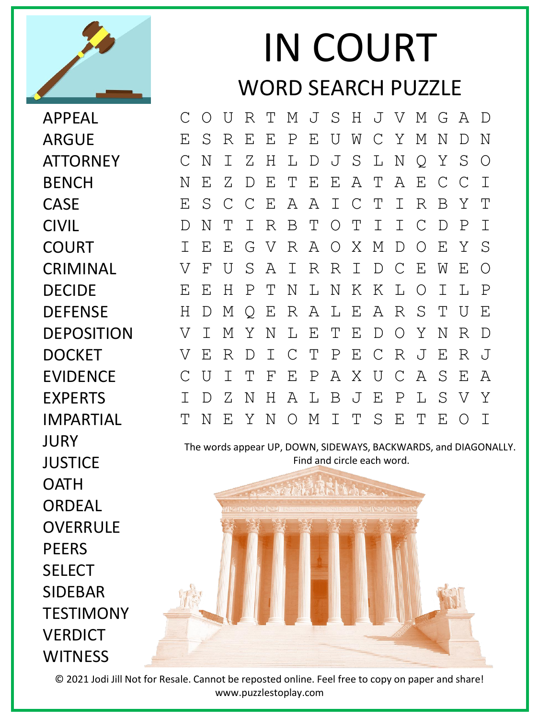

## IN COURT WORD SEARCH PUZZLE

APPEAL ARGUE **ATTORNEY BENCH** CASE CIVIL **COURT** CRIMINAL DECIDE DEFENSE DEPOSITION DOCKET EVIDENCE EXPERTS IMPARTIAL **JURY JUSTICF OATH** ORDEAL **OVERRULE** PEERS **SFLFCT** SIDEBAR **TESTIMONY VERDICT WITNESS** 

C O U R T M J S H J V M G A D E S R E E P E U W C Y M N D N C N I Z H L D J S L N Q Y S O N E Z D E T E E A T A E C C I E S C C E A A I C T I R B Y T D N T I R B T O T I I C D P I I E E G V R A O X M D O E Y S V F U S A I R R I D C E W E O E E H P T N L N K K L O I L P H D M Q E R A L E A R S T U E V I M Y N L E T E D O Y N R D V E R D I C T P E C R J E R J C U I T F E P A X U C A S E A I D Z N H A L B J E P L S V Y T N E Y N O M I T S E T E O I

The words appear UP, DOWN, SIDEWAYS, BACKWARDS, and DIAGONALLY. Find and circle each word.



© 2021 Jodi Jill Not for Resale. Cannot be reposted online. Feel free to copy on paper and share! www.puzzlestoplay.com